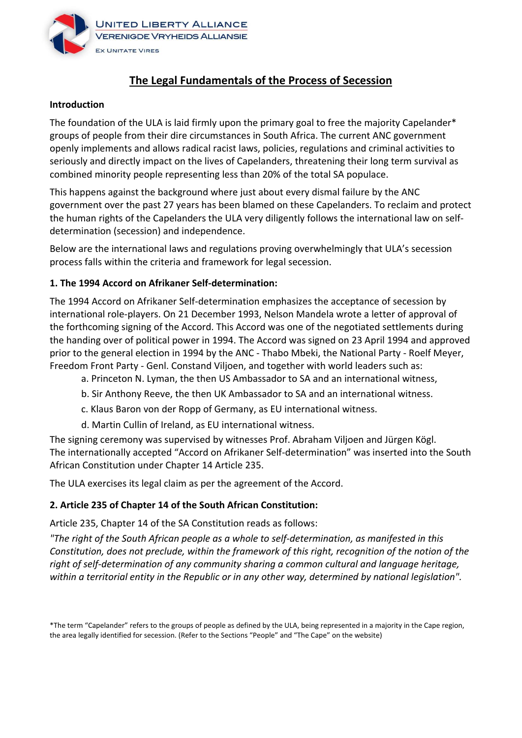

# **The Legal Fundamentals of the Process of Secession**

#### **Introduction**

The foundation of the ULA is laid firmly upon the primary goal to free the majority Capelander\* groups of people from their dire circumstances in South Africa. The current ANC government openly implements and allows radical racist laws, policies, regulations and criminal activities to seriously and directly impact on the lives of Capelanders, threatening their long term survival as combined minority people representing less than 20% of the total SA populace.

This happens against the background where just about every dismal failure by the ANC government over the past 27 years has been blamed on these Capelanders. To reclaim and protect the human rights of the Capelanders the ULA very diligently follows the international law on selfdetermination (secession) and independence.

Below are the international laws and regulations proving overwhelmingly that ULA's secession process falls within the criteria and framework for legal secession.

#### **1. The 1994 Accord on Afrikaner Self-determination:**

The 1994 Accord on Afrikaner Self-determination emphasizes the acceptance of secession by international role-players. On 21 December 1993, Nelson Mandela wrote a letter of approval of the forthcoming signing of the Accord. This Accord was one of the negotiated settlements during the handing over of political power in 1994. The Accord was signed on 23 April 1994 and approved prior to the general election in 1994 by the ANC - Thabo Mbeki, the National Party - Roelf Meyer, Freedom Front Party - Genl. Constand Viljoen, and together with world leaders such as:

- a. Princeton N. Lyman, the then US Ambassador to SA and an international witness,
- b. Sir Anthony Reeve, the then UK Ambassador to SA and an international witness.
- c. Klaus Baron von der Ropp of Germany, as EU international witness.
- d. Martin Cullin of Ireland, as EU international witness.

The signing ceremony was supervised by witnesses Prof. Abraham Viljoen and Jürgen Kögl. The internationally accepted "Accord on Afrikaner Self-determination" was inserted into the South African Constitution under Chapter 14 Article 235.

The ULA exercises its legal claim as per the agreement of the Accord.

#### **2. Article 235 of Chapter 14 of the South African Constitution:**

Article 235, Chapter 14 of the SA Constitution reads as follows:

*"The right of the South African people as a whole to self-determination, as manifested in this Constitution, does not preclude, within the framework of this right, recognition of the notion of the right of self-determination of any community sharing a common cultural and language heritage, within a territorial entity in the Republic or in any other way, determined by national legislation".*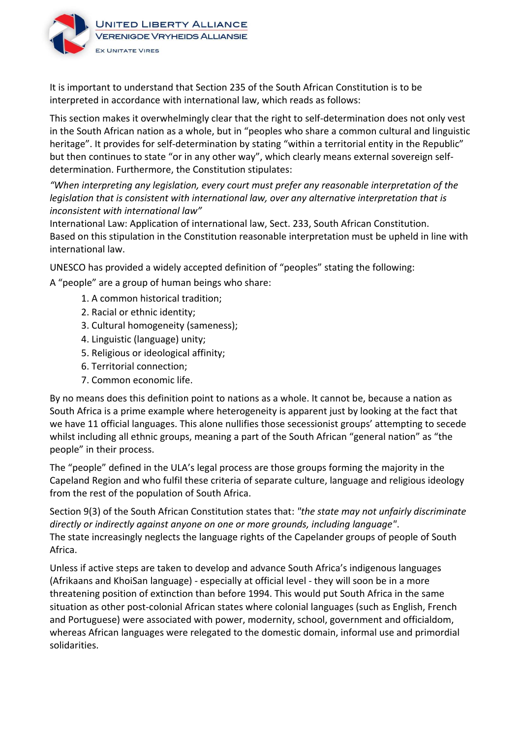

It is important to understand that Section 235 of the South African Constitution is to be

interpreted in accordance with international law, which reads as follows:

This section makes it overwhelmingly clear that the right to self-determination does not only vest in the South African nation as a whole, but in "peoples who share a common cultural and linguistic heritage". It provides for self-determination by stating "within a territorial entity in the Republic" but then continues to state "or in any other way", which clearly means external sovereign selfdetermination. Furthermore, the Constitution stipulates:

*"When interpreting any legislation, every court must prefer any reasonable interpretation of the legislation that is consistent with international law, over any alternative interpretation that is inconsistent with international law"* 

International Law: Application of international law, Sect. 233, South African Constitution. Based on this stipulation in the Constitution reasonable interpretation must be upheld in line with international law.

UNESCO has provided a widely accepted definition of "peoples" stating the following:

A "people" are a group of human beings who share:

- 1. A common historical tradition;
- 2. Racial or ethnic identity;
- 3. Cultural homogeneity (sameness);
- 4. Linguistic (language) unity;
- 5. Religious or ideological affinity;
- 6. Territorial connection;
- 7. Common economic life.

By no means does this definition point to nations as a whole. It cannot be, because a nation as South Africa is a prime example where heterogeneity is apparent just by looking at the fact that we have 11 official languages. This alone nullifies those secessionist groups' attempting to secede whilst including all ethnic groups, meaning a part of the South African "general nation" as "the people" in their process.

The "people" defined in the ULA's legal process are those groups forming the majority in the Capeland Region and who fulfil these criteria of separate culture, language and religious ideology from the rest of the population of South Africa.

Section 9(3) of the South African Constitution states that: *"the state may not unfairly discriminate directly or indirectly against anyone on one or more grounds, including language"*. The state increasingly neglects the language rights of the Capelander groups of people of South Africa.

Unless if active steps are taken to develop and advance South Africa's indigenous languages (Afrikaans and KhoiSan language) - especially at official level - they will soon be in a more threatening position of extinction than before 1994. This would put South Africa in the same situation as other post-colonial African states where colonial languages (such as English, French and Portuguese) were associated with power, modernity, school, government and officialdom, whereas African languages were relegated to the domestic domain, informal use and primordial solidarities.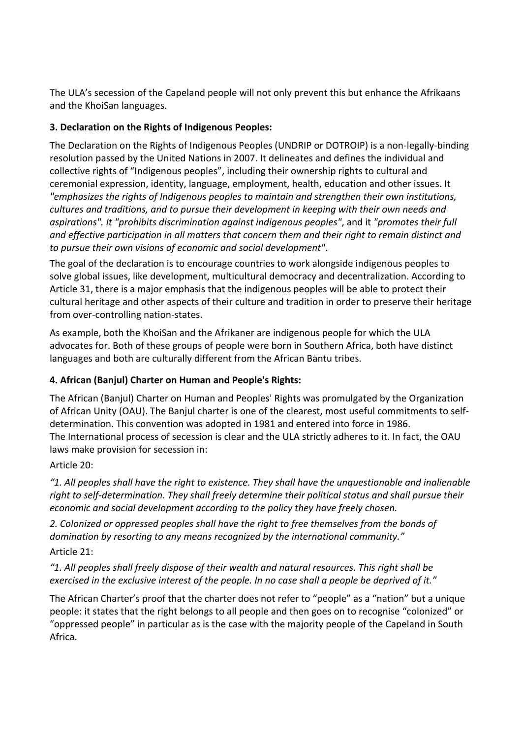The ULA's secession of the Capeland people will not only prevent this but enhance the Afrikaans and the KhoiSan languages.

# **3. Declaration on the Rights of Indigenous Peoples:**

The Declaration on the Rights of Indigenous Peoples (UNDRIP or DOTROIP) is a non-legally-binding resolution passed by the United Nations in 2007. It delineates and defines the individual and collective rights of "Indigenous peoples", including their ownership rights to cultural and ceremonial expression, identity, language, employment, health, education and other issues. It *"emphasizes the rights of Indigenous peoples to maintain and strengthen their own institutions, cultures and traditions, and to pursue their development in keeping with their own needs and aspirations". It "prohibits discrimination against indigenous peoples"*, and it *"promotes their full and effective participation in all matters that concern them and their right to remain distinct and to pursue their own visions of economic and social development"*.

The goal of the declaration is to encourage countries to work alongside indigenous peoples to solve global issues, like development, multicultural democracy and decentralization. According to Article 31, there is a major emphasis that the indigenous peoples will be able to protect their cultural heritage and other aspects of their culture and tradition in order to preserve their heritage from over-controlling nation-states.

As example, both the KhoiSan and the Afrikaner are indigenous people for which the ULA advocates for. Both of these groups of people were born in Southern Africa, both have distinct languages and both are culturally different from the African Bantu tribes.

# **4. African (Banjul) Charter on Human and People's Rights:**

The African (Banjul) Charter on Human and Peoples' Rights was promulgated by the Organization of African Unity (OAU). The Banjul charter is one of the clearest, most useful commitments to selfdetermination. This convention was adopted in 1981 and entered into force in 1986. The International process of secession is clear and the ULA strictly adheres to it. In fact, the OAU laws make provision for secession in:

#### Article 20:

*"1. All peoples shall have the right to existence. They shall have the unquestionable and inalienable right to self-determination. They shall freely determine their political status and shall pursue their economic and social development according to the policy they have freely chosen.* 

*2. Colonized or oppressed peoples shall have the right to free themselves from the bonds of domination by resorting to any means recognized by the international community."* Article 21:

*"1. All peoples shall freely dispose of their wealth and natural resources. This right shall be exercised in the exclusive interest of the people. In no case shall a people be deprived of it."*

The African Charter's proof that the charter does not refer to "people" as a "nation" but a unique people: it states that the right belongs to all people and then goes on to recognise "colonized" or "oppressed people" in particular as is the case with the majority people of the Capeland in South Africa.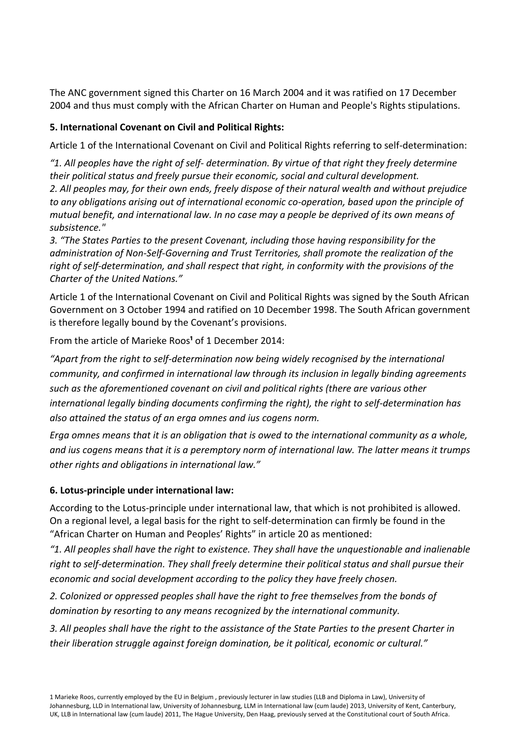The ANC government signed this Charter on 16 March 2004 and it was ratified on 17 December 2004 and thus must comply with the African Charter on Human and People's Rights stipulations.

#### **5. International Covenant on Civil and Political Rights:**

Article 1 of the International Covenant on Civil and Political Rights referring to self-determination:

*"1. All peoples have the right of self- determination. By virtue of that right they freely determine their political status and freely pursue their economic, social and cultural development. 2. All peoples may, for their own ends, freely dispose of their natural wealth and without prejudice to any obligations arising out of international economic co-operation, based upon the principle of mutual benefit, and international law. In no case may a people be deprived of its own means of subsistence."*

*3. "The States Parties to the present Covenant, including those having responsibility for the administration of Non-Self-Governing and Trust Territories, shall promote the realization of the right of self-determination, and shall respect that right, in conformity with the provisions of the Charter of the United Nations."*

Article 1 of the International Covenant on Civil and Political Rights was signed by the South African Government on 3 October 1994 and ratified on 10 December 1998. The South African government is therefore legally bound by the Covenant's provisions.

From the article of Marieke Roos<sup>1</sup> of 1 December 2014:

*"Apart from the right to self-determination now being widely recognised by the international community, and confirmed in international law through its inclusion in legally binding agreements such as the aforementioned covenant on civil and political rights (there are various other international legally binding documents confirming the right), the right to self-determination has also attained the status of an erga omnes and ius cogens norm.*

*Erga omnes means that it is an obligation that is owed to the international community as a whole, and ius cogens means that it is a peremptory norm of international law. The latter means it trumps other rights and obligations in international law."*

# **6. Lotus-principle under international law:**

According to the Lotus-principle under international law, that which is not prohibited is allowed. On a regional level, a legal basis for the right to self-determination can firmly be found in the "African Charter on Human and Peoples' Rights" in article 20 as mentioned:

*"1. All peoples shall have the right to existence. They shall have the unquestionable and inalienable right to self-determination. They shall freely determine their political status and shall pursue their economic and social development according to the policy they have freely chosen.* 

*2. Colonized or oppressed peoples shall have the right to free themselves from the bonds of domination by resorting to any means recognized by the international community.* 

*3. All peoples shall have the right to the assistance of the State Parties to the present Charter in their liberation struggle against foreign domination, be it political, economic or cultural."*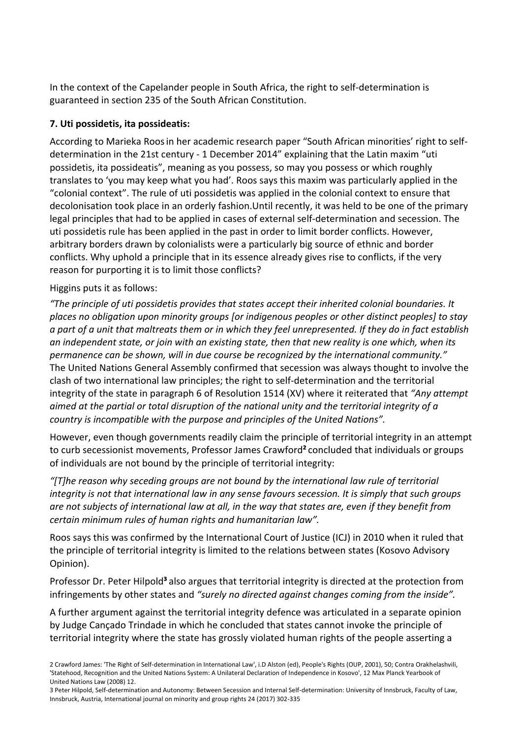In the context of the Capelander people in South Africa, the right to self-determination is guaranteed in section 235 of the South African Constitution.

#### **7. Uti possidetis, ita possideatis:**

According to Marieka Roosin her academic research paper "South African minorities' right to selfdetermination in the 21st century - 1 December 2014" explaining that the Latin maxim "uti possidetis, ita possideatis", meaning as you possess, so may you possess or which roughly translates to 'you may keep what you had'. Roos says this maxim was particularly applied in the "colonial context". The rule of uti possidetis was applied in the colonial context to ensure that decolonisation took place in an orderly fashion.Until recently, it was held to be one of the primary legal principles that had to be applied in cases of external self-determination and secession. The uti possidetis rule has been applied in the past in order to limit border conflicts. However, arbitrary borders drawn by colonialists were a particularly big source of ethnic and border conflicts. Why uphold a principle that in its essence already gives rise to conflicts, if the very reason for purporting it is to limit those conflicts?

#### Higgins puts it as follows:

*"The principle of uti possidetis provides that states accept their inherited colonial boundaries. It places no obligation upon minority groups [or indigenous peoples or other distinct peoples] to stay a part of a unit that maltreats them or in which they feel unrepresented. If they do in fact establish an independent state, or join with an existing state, then that new reality is one which, when its permanence can be shown, will in due course be recognized by the international community."* The United Nations General Assembly confirmed that secession was always thought to involve the clash of two international law principles; the right to self-determination and the territorial integrity of the state in paragraph 6 of Resolution 1514 (XV) where it reiterated that *"Any attempt aimed at the partial or total disruption of the national unity and the territorial integrity of a country is incompatible with the purpose and principles of the United Nations".*

However, even though governments readily claim the principle of territorial integrity in an attempt to curb secessionist movements, Professor James Crawford**²** concluded that individuals or groups of individuals are not bound by the principle of territorial integrity:

*"[T]he reason why seceding groups are not bound by the international law rule of territorial integrity is not that international law in any sense favours secession. It is simply that such groups are not subjects of international law at all, in the way that states are, even if they benefit from certain minimum rules of human rights and humanitarian law".*

Roos says this was confirmed by the International Court of Justice (ICJ) in 2010 when it ruled that the principle of territorial integrity is limited to the relations between states (Kosovo Advisory Opinion).

Professor Dr. Peter Hilpold**³** also argues that territorial integrity is directed at the protection from infringements by other states and *"surely no directed against changes coming from the inside".*

A further argument against the territorial integrity defence was articulated in a separate opinion by Judge Cançado Trindade in which he concluded that states cannot invoke the principle of territorial integrity where the state has grossly violated human rights of the people asserting a

<sup>2</sup> Crawford James: 'The Right of Self-determination in International Law', i.D Alston (ed), People's Rights (OUP, 2001), 50; Contra Orakhelashvili, 'Statehood, Recognition and the United Nations System: A Unilateral Declaration of Independence in Kosovo', 12 Max Planck Yearbook of United Nations Law (2008) 12.

<sup>3</sup> Peter Hilpold, Self-determination and Autonomy: Between Secession and Internal Self-determination: University of Innsbruck, Faculty of Law, Innsbruck, Austria, International journal on minority and group rights 24 (2017) 302-335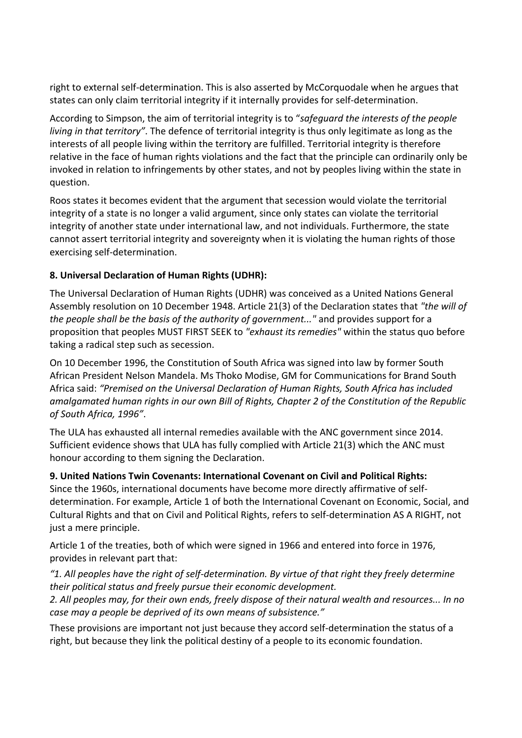right to external self-determination. This is also asserted by McCorquodale when he argues that states can only claim territorial integrity if it internally provides for self-determination.

According to Simpson, the aim of territorial integrity is to "*safeguard the interests of the people living in that territory"*. The defence of territorial integrity is thus only legitimate as long as the interests of all people living within the territory are fulfilled. Territorial integrity is therefore relative in the face of human rights violations and the fact that the principle can ordinarily only be invoked in relation to infringements by other states, and not by peoples living within the state in question.

Roos states it becomes evident that the argument that secession would violate the territorial integrity of a state is no longer a valid argument, since only states can violate the territorial integrity of another state under international law, and not individuals. Furthermore, the state cannot assert territorial integrity and sovereignty when it is violating the human rights of those exercising self-determination.

# **8. Universal Declaration of Human Rights (UDHR):**

The Universal Declaration of Human Rights (UDHR) was conceived as a United Nations General Assembly resolution on 10 December 1948. Article 21(3) of the Declaration states that *"the will of the people shall be the basis of the authority of government..."* and provides support for a proposition that peoples MUST FIRST SEEK to *"exhaust its remedies"* within the status quo before taking a radical step such as secession.

On 10 December 1996, the Constitution of South Africa was signed into law by former South African President Nelson Mandela. Ms Thoko Modise, GM for Communications for Brand South Africa said: *"Premised on the Universal Declaration of Human Rights, South Africa has included amalgamated human rights in our own Bill of Rights, Chapter 2 of the Constitution of the Republic of South Africa, 1996"*.

The ULA has exhausted all internal remedies available with the ANC government since 2014. Sufficient evidence shows that ULA has fully complied with Article 21(3) which the ANC must honour according to them signing the Declaration.

**9. United Nations Twin Covenants: International Covenant on Civil and Political Rights:**  Since the 1960s, international documents have become more directly affirmative of selfdetermination. For example, Article 1 of both the International Covenant on Economic, Social, and Cultural Rights and that on Civil and Political Rights, refers to self-determination AS A RIGHT, not just a mere principle.

Article 1 of the treaties, both of which were signed in 1966 and entered into force in 1976, provides in relevant part that:

*"1. All peoples have the right of self-determination. By virtue of that right they freely determine their political status and freely pursue their economic development. 2. All peoples may, for their own ends, freely dispose of their natural wealth and resources... In no* 

*case may a people be deprived of its own means of subsistence."*

These provisions are important not just because they accord self-determination the status of a right, but because they link the political destiny of a people to its economic foundation.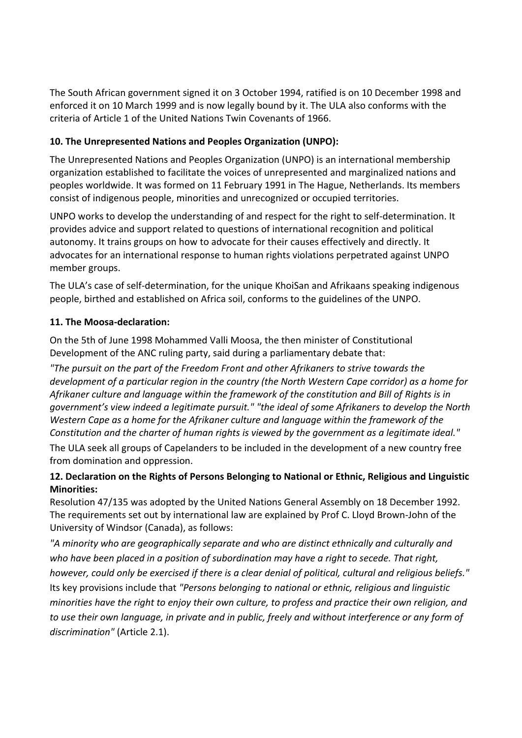The South African government signed it on 3 October 1994, ratified is on 10 December 1998 and enforced it on 10 March 1999 and is now legally bound by it. The ULA also conforms with the criteria of Article 1 of the United Nations Twin Covenants of 1966.

#### **10. The Unrepresented Nations and Peoples Organization (UNPO):**

The Unrepresented Nations and Peoples Organization (UNPO) is an international membership organization established to facilitate the voices of unrepresented and marginalized nations and peoples worldwide. It was formed on 11 February 1991 in The Hague, Netherlands. Its members consist of indigenous people, minorities and unrecognized or occupied territories.

UNPO works to develop the understanding of and respect for the right to self-determination. It provides advice and support related to questions of international recognition and political autonomy. It trains groups on how to advocate for their causes effectively and directly. It advocates for an international response to human rights violations perpetrated against UNPO member groups.

The ULA's case of self-determination, for the unique KhoiSan and Afrikaans speaking indigenous people, birthed and established on Africa soil, conforms to the guidelines of the UNPO.

#### **11. The Moosa-declaration:**

On the 5th of June 1998 Mohammed Valli Moosa, the then minister of Constitutional Development of the ANC ruling party, said during a parliamentary debate that:

*"The pursuit on the part of the Freedom Front and other Afrikaners to strive towards the development of a particular region in the country (the North Western Cape corridor) as a home for Afrikaner culture and language within the framework of the constitution and Bill of Rights is in government's view indeed a legitimate pursuit." "the ideal of some Afrikaners to develop the North Western Cape as a home for the Afrikaner culture and language within the framework of the Constitution and the charter of human rights is viewed by the government as a legitimate ideal."*

The ULA seek all groups of Capelanders to be included in the development of a new country free from domination and oppression.

# **12. Declaration on the Rights of Persons Belonging to National or Ethnic, Religious and Linguistic Minorities:**

Resolution 47/135 was adopted by the United Nations General Assembly on 18 December 1992. The requirements set out by international law are explained by Prof C. Lloyd Brown-John of the University of Windsor (Canada), as follows:

*"A minority who are geographically separate and who are distinct ethnically and culturally and who have been placed in a position of subordination may have a right to secede. That right, however, could only be exercised if there is a clear denial of political, cultural and religious beliefs."*  Its key provisions include that *"Persons belonging to national or ethnic, religious and linguistic minorities have the right to enjoy their own culture, to profess and practice their own religion, and to use their own language, in private and in public, freely and without interference or any form of discrimination"* (Article 2.1).